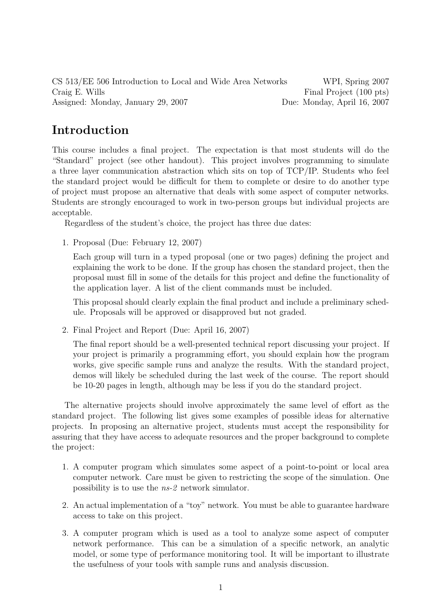CS 513/EE 506 Introduction to Local and Wide Area Networks WPI, Spring 2007 Craig E. Wills Final Project (100 pts) Assigned: Monday, January 29, 2007 Due: Monday, April 16, 2007

## Introduction

This course includes a final project. The expectation is that most students will do the "Standard" project (see other handout). This project involves programming to simulate a three layer communication abstraction which sits on top of TCP/IP. Students who feel the standard project would be difficult for them to complete or desire to do another type of project must propose an alternative that deals with some aspect of computer networks. Students are strongly encouraged to work in two-person groups but individual projects are acceptable.

Regardless of the student's choice, the project has three due dates:

1. Proposal (Due: February 12, 2007)

Each group will turn in a typed proposal (one or two pages) defining the project and explaining the work to be done. If the group has chosen the standard project, then the proposal must fill in some of the details for this project and define the functionality of the application layer. A list of the client commands must be included.

This proposal should clearly explain the final product and include a preliminary schedule. Proposals will be approved or disapproved but not graded.

2. Final Project and Report (Due: April 16, 2007)

The final report should be a well-presented technical report discussing your project. If your project is primarily a programming effort, you should explain how the program works, give specific sample runs and analyze the results. With the standard project, demos will likely be scheduled during the last week of the course. The report should be 10-20 pages in length, although may be less if you do the standard project.

The alternative projects should involve approximately the same level of effort as the standard project. The following list gives some examples of possible ideas for alternative projects. In proposing an alternative project, students must accept the responsibility for assuring that they have access to adequate resources and the proper background to complete the project:

- 1. A computer program which simulates some aspect of a point-to-point or local area computer network. Care must be given to restricting the scope of the simulation. One possibility is to use the ns-2 network simulator.
- 2. An actual implementation of a "toy" network. You must be able to guarantee hardware access to take on this project.
- 3. A computer program which is used as a tool to analyze some aspect of computer network performance. This can be a simulation of a specific network, an analytic model, or some type of performance monitoring tool. It will be important to illustrate the usefulness of your tools with sample runs and analysis discussion.